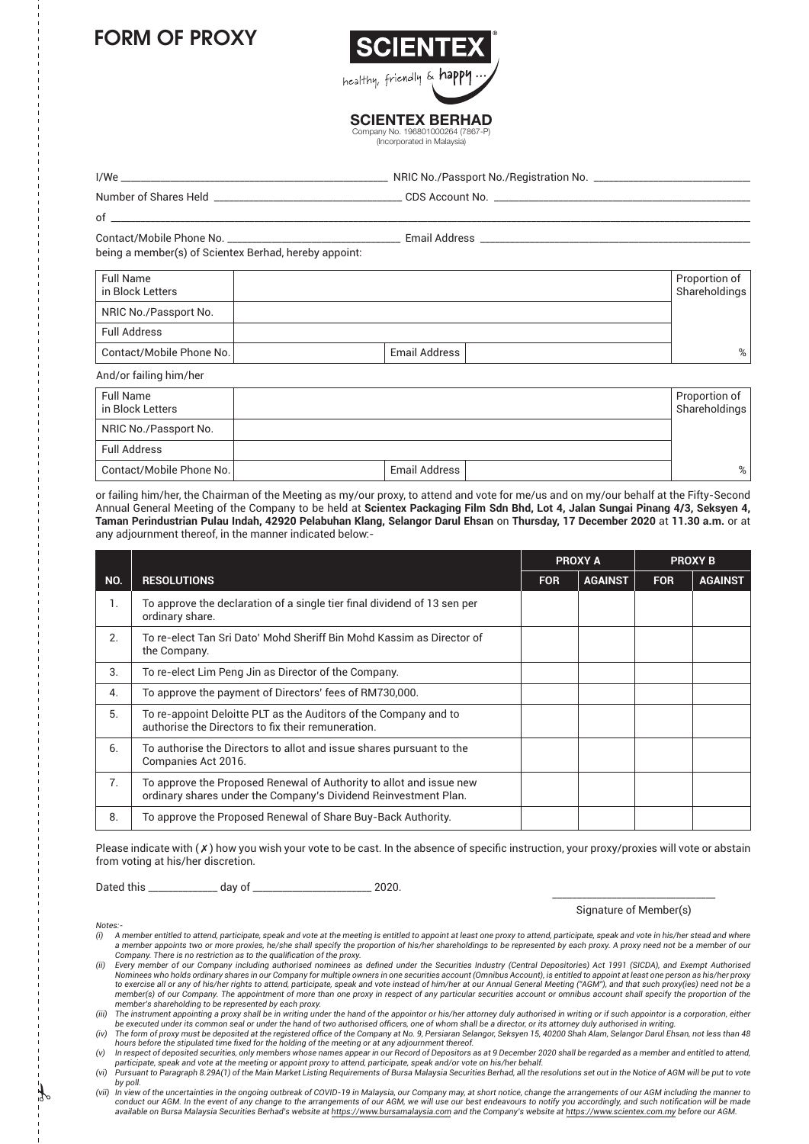## FORM OF PROXY



**SCIENTEX BERHAD** mpany No. 196801000264 (7867-P

(Incorporated in Malaysia)

|                                                       |  | NRIC No./Passport No./Registration No. ______________________________ |  |  |                                |
|-------------------------------------------------------|--|-----------------------------------------------------------------------|--|--|--------------------------------|
|                                                       |  |                                                                       |  |  |                                |
|                                                       |  |                                                                       |  |  |                                |
| being a member(s) of Scientex Berhad, hereby appoint: |  |                                                                       |  |  |                                |
| Full Name<br>in Block Letters                         |  |                                                                       |  |  | Proportion of<br>Shareholdings |
| NRIC No./Passport No.                                 |  |                                                                       |  |  |                                |
| <b>Full Address</b>                                   |  |                                                                       |  |  |                                |
| Contact/Mobile Phone No.                              |  | Email Address                                                         |  |  | %                              |

| And/or failing him/her               |               |                                |
|--------------------------------------|---------------|--------------------------------|
| <b>Full Name</b><br>in Block Letters |               | Proportion of<br>Shareholdings |
| NRIC No./Passport No.                |               |                                |
| <b>Full Address</b>                  |               |                                |
| Contact/Mobile Phone No.             | Email Address | %                              |

or failing him/her, the Chairman of the Meeting as my/our proxy, to attend and vote for me/us and on my/our behalf at the Fifty-Second Annual General Meeting of the Company to be held at **Scientex Packaging Film Sdn Bhd, Lot 4, Jalan Sungai Pinang 4/3, Seksyen 4, Taman Perindustrian Pulau Indah, 42920 Pelabuhan Klang, Selangor Darul Ehsan** on **Thursday, 17 December 2020** at **11.30 a.m.** or at any adjournment thereof, in the manner indicated below:-

|                |                                                                                                                                        |            | <b>PROXY A</b> |            | <b>PROXY B</b> |  |
|----------------|----------------------------------------------------------------------------------------------------------------------------------------|------------|----------------|------------|----------------|--|
| NO.            | <b>RESOLUTIONS</b>                                                                                                                     | <b>FOR</b> | <b>AGAINST</b> | <b>FOR</b> | <b>AGAINST</b> |  |
| 1.             | To approve the declaration of a single tier final dividend of 13 sen per<br>ordinary share.                                            |            |                |            |                |  |
| 2.             | To re-elect Tan Sri Dato' Mohd Sheriff Bin Mohd Kassim as Director of<br>the Company.                                                  |            |                |            |                |  |
| 3.             | To re-elect Lim Peng Jin as Director of the Company.                                                                                   |            |                |            |                |  |
| 4.             | To approve the payment of Directors' fees of RM730,000.                                                                                |            |                |            |                |  |
| 5.             | To re-appoint Deloitte PLT as the Auditors of the Company and to<br>authorise the Directors to fix their remuneration.                 |            |                |            |                |  |
| 6.             | To authorise the Directors to allot and issue shares pursuant to the<br>Companies Act 2016.                                            |            |                |            |                |  |
| 7 <sub>1</sub> | To approve the Proposed Renewal of Authority to allot and issue new<br>ordinary shares under the Company's Dividend Reinvestment Plan. |            |                |            |                |  |
| 8.             | To approve the Proposed Renewal of Share Buy-Back Authority.                                                                           |            |                |            |                |  |

Please indicate with  $(x)$  how you wish your vote to be cast. In the absence of specific instruction, your proxy/proxies will vote or abstain from voting at his/her discretion.

Dated this \_\_\_\_\_\_\_\_\_\_\_\_\_\_ day of \_\_\_\_\_\_\_\_\_\_\_\_\_\_\_\_\_\_\_\_\_\_\_\_ 2020. \_\_\_\_\_\_\_\_\_\_\_\_\_\_\_\_\_\_\_\_\_\_\_\_\_\_\_\_\_\_\_\_\_

## Signature of Member(s)

*Notes:-*

*(i) A member entitled to attend, participate, speak and vote at the meeting is entitled to appoint at least one proxy to attend, participate, speak and vote in his/her stead and where a member appoints two or more proxies, he/she shall specify the proportion of his/her shareholdings to be represented by each proxy. A proxy need not be a member of our* 

Company. There is no restriction as to the qualification of the proxy.<br>(ii) Every member of our Company including authorised nominees as defined under the Securities Industry (Central Depositories) Act 1991 (SICDA), and Ex Nominees who holds ordinary shares in our Company for multiple owners in one securities account (Omnibus Account), is entitled to appoint at least one person as his/her proxy<br>to exercise all or any of his/her rights to att *member(s) of our Company. The appointment of more than one proxy in respect of any particular securities account or omnibus account shall specify the proportion of the* 

member's shareholding to be represented by each proxy.<br>iii) The instrument appointing a proxy shall be in writing under the hand of the appointor or his/her attorney duly authorised in writing or if such appointor is a cor be executed under its common seal or under the hand of two authorised officers, one of whom shall be a director, or its attorney duly authorised in writing.<br>(iv) The form of proxy must be deposited at the registered office

hours before the stipulated time fixed for the holding of the meeting or at any adjournment thereof.<br>(v) In respect of deposited securities, only members whose names appear in our Record of Depositors as at 9 December 2020

*participate, speak and vote at the meeting or appoint proxy to attend, participate, speak and/or vote on his/her behalf.*

*<sup>(</sup>vi) Pursuant to Paragraph 8.29A(1) of the Main Market Listing Requirements of Bursa Malaysia Securities Berhad, all the resolutions set out in the Notice of AGM will be put to vote by poll.*

*<sup>(</sup>vii) In view of the uncertainties in the ongoing outbreak of COVID-19 in Malaysia, our Company may, at short notice, change the arrangements of our AGM including the manner to*  conduct our AGM. In the event of any change to the arrangements of our AGM, we will use our best endeavours to notify you accordingly, and such notification will be made<br>available on Bursa Malaysia Securities Berhad's webs